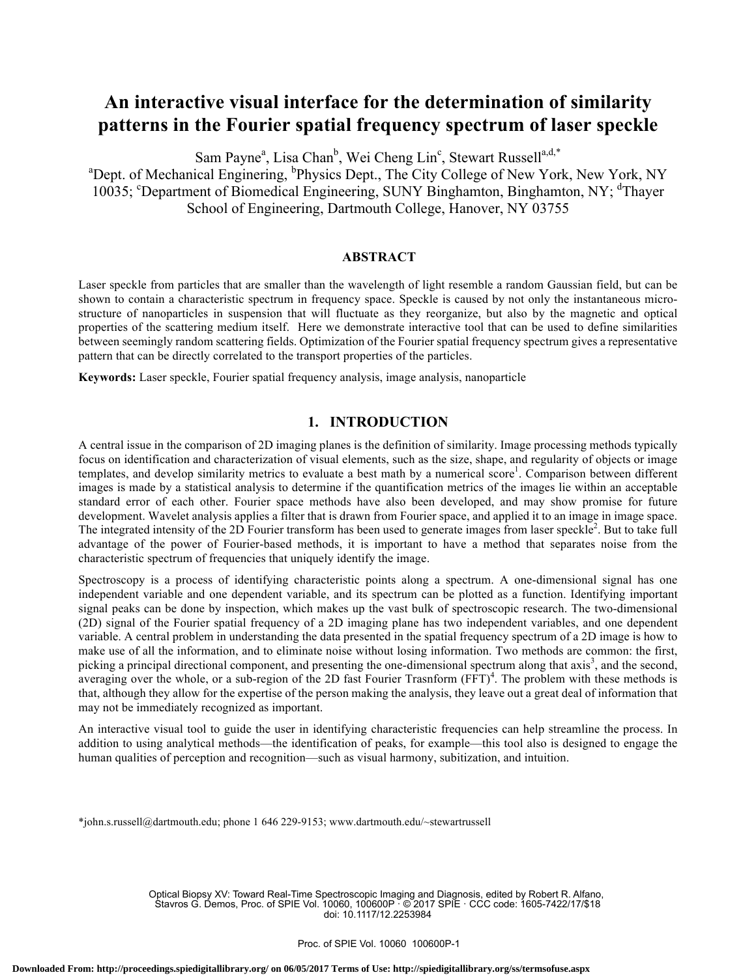# **An interactive visual interface for the determination of similarity patterns in the Fourier spatial frequency spectrum of laser speckle**

Sam Payne<sup>a</sup>, Lisa Chan<sup>b</sup>, Wei Cheng Lin<sup>c</sup>, Stewart Russell<sup>a,d,\*</sup>

<sup>a</sup>Dept. of Mechanical Enginering, <sup>b</sup>Physics Dept., The City College of New York, New York, NY 10035; <sup>c</sup>Department of Biomedical Engineering, SUNY Binghamton, Binghamton, NY; <sup>d</sup>Thayer School of Engineering, Dartmouth College, Hanover, NY 03755

## **ABSTRACT**

Laser speckle from particles that are smaller than the wavelength of light resemble a random Gaussian field, but can be shown to contain a characteristic spectrum in frequency space. Speckle is caused by not only the instantaneous microstructure of nanoparticles in suspension that will fluctuate as they reorganize, but also by the magnetic and optical properties of the scattering medium itself. Here we demonstrate interactive tool that can be used to define similarities between seemingly random scattering fields. Optimization of the Fourier spatial frequency spectrum gives a representative pattern that can be directly correlated to the transport properties of the particles.

**Keywords:** Laser speckle, Fourier spatial frequency analysis, image analysis, nanoparticle

## **1. INTRODUCTION**

A central issue in the comparison of 2D imaging planes is the definition of similarity. Image processing methods typically focus on identification and characterization of visual elements, such as the size, shape, and regularity of objects or image templates, and develop similarity metrics to evaluate a best math by a numerical score<sup>1</sup>. Comparison between different images is made by a statistical analysis to determine if the quantification metrics of the images lie within an acceptable standard error of each other. Fourier space methods have also been developed, and may show promise for future development. Wavelet analysis applies a filter that is drawn from Fourier space, and applied it to an image in image space. The integrated intensity of the 2D Fourier transform has been used to generate images from laser speckle<sup>2</sup>. But to take full advantage of the power of Fourier-based methods, it is important to have a method that separates noise from the characteristic spectrum of frequencies that uniquely identify the image.

Spectroscopy is a process of identifying characteristic points along a spectrum. A one-dimensional signal has one independent variable and one dependent variable, and its spectrum can be plotted as a function. Identifying important signal peaks can be done by inspection, which makes up the vast bulk of spectroscopic research. The two-dimensional (2D) signal of the Fourier spatial frequency of a 2D imaging plane has two independent variables, and one dependent variable. A central problem in understanding the data presented in the spatial frequency spectrum of a 2D image is how to make use of all the information, and to eliminate noise without losing information. Two methods are common: the first, picking a principal directional component, and presenting the one-dimensional spectrum along that axis<sup>3</sup>, and the second, averaging over the whole, or a sub-region of the 2D fast Fourier Trasnform (FFT)<sup>4</sup>. The problem with these methods is that, although they allow for the expertise of the person making the analysis, they leave out a great deal of information that may not be immediately recognized as important.

An interactive visual tool to guide the user in identifying characteristic frequencies can help streamline the process. In addition to using analytical methods—the identification of peaks, for example—this tool also is designed to engage the human qualities of perception and recognition—such as visual harmony, subitization, and intuition.

\*john.s.russell@dartmouth.edu; phone 1 646 229-9153; www.dartmouth.edu/~stewartrussell

Optical Biopsy XV: Toward Real-Time Spectroscopic Imaging and Diagnosis, edited by Robert R. Alfano, Stavros G. Demos, Proc. of SPIE Vol. 10060, 100600P · © 2017 SPIE · CCC code: 1605-7422/17/\$18 doi: 10.1117/12.2253984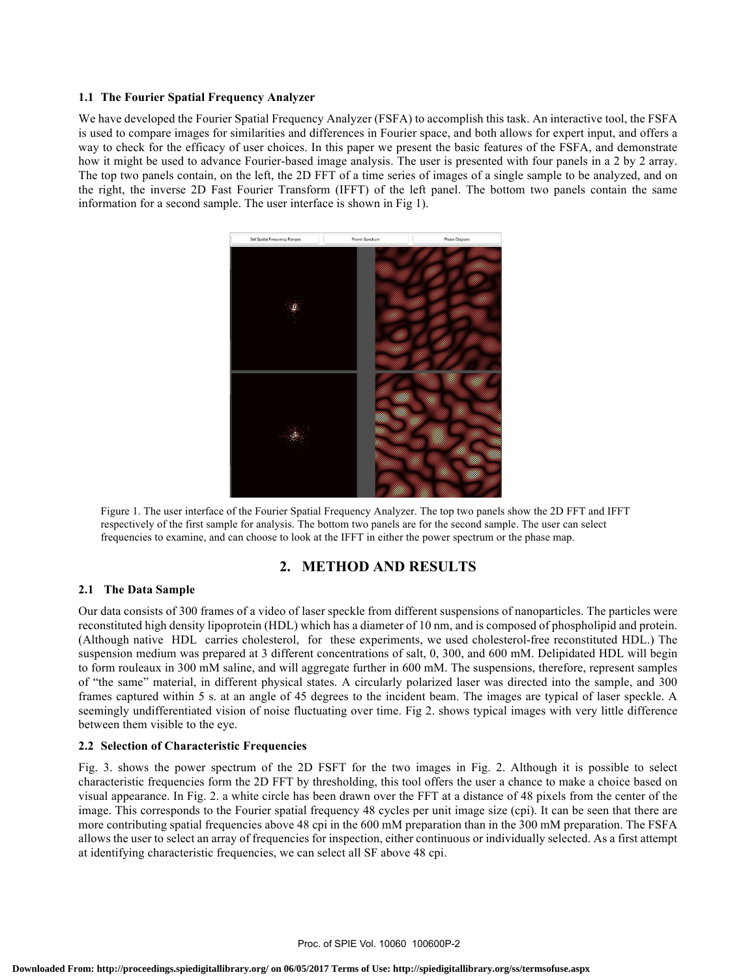#### **1.1 The Fourier Spatial Frequency Analyzer**

We have developed the Fourier Spatial Frequency Analyzer (FSFA) to accomplish this task. An interactive tool, the FSFA is used to compare images for similarities and differences in Fourier space, and both allows for expert input, and offers a way to check for the efficacy of user choices. In this paper we present the basic features of the FSFA, and demonstrate how it might be used to advance Fourier-based image analysis. The user is presented with four panels in a 2 by 2 array. The top two panels contain, on the left, the 2D FFT of a time series of images of a single sample to be analyzed, and on the right, the inverse 2D Fast Fourier Transform (IFFT) of the left panel. The bottom two panels contain the same information for a second sample. The user interface is shown in Fig 1).



Figure 1. The user interface of the Fourier Spatial Frequency Analyzer. The top two panels show the 2D FFT and IFFT respectively of the first sample for analysis. The bottom two panels are for the second sample. The user can select frequencies to examine, and can choose to look at the IFFT in either the power spectrum or the phase map.

## **2. METHOD AND RESULTS**

## **2.1 The Data Sample**

Our data consists of 300 frames of a video of laser speckle from different suspensions of nanoparticles. The particles were reconstituted high density lipoprotein (HDL) which has a diameter of 10 nm, and is composed of phospholipid and protein. (Although native HDL carries cholesterol, for these experiments, we used cholesterol-free reconstituted HDL.) The suspension medium was prepared at 3 different concentrations of salt, 0, 300, and 600 mM. Delipidated HDL will begin to form rouleaux in 300 mM saline, and will aggregate further in 600 mM. The suspensions, therefore, represent samples of "the same" material, in different physical states. A circularly polarized laser was directed into the sample, and 300 frames captured within 5 s. at an angle of 45 degrees to the incident beam. The images are typical of laser speckle. A seemingly undifferentiated vision of noise fluctuating over time. Fig 2. shows typical images with very little difference between them visible to the eye.

#### **2.2 Selection of Characteristic Frequencies**

Fig. 3. shows the power spectrum of the 2D FSFT for the two images in Fig. 2. Although it is possible to select characteristic frequencies form the 2D FFT by thresholding, this tool offers the user a chance to make a choice based on visual appearance. In Fig. 2. a white circle has been drawn over the FFT at a distance of 48 pixels from the center of the image. This corresponds to the Fourier spatial frequency 48 cycles per unit image size (cpi). It can be seen that there are more contributing spatial frequencies above 48 cpi in the 600 mM preparation than in the 300 mM preparation. The FSFA allows the user to select an array of frequencies for inspection, either continuous or individually selected. As a first attempt at identifying characteristic frequencies, we can select all SF above 48 cpi.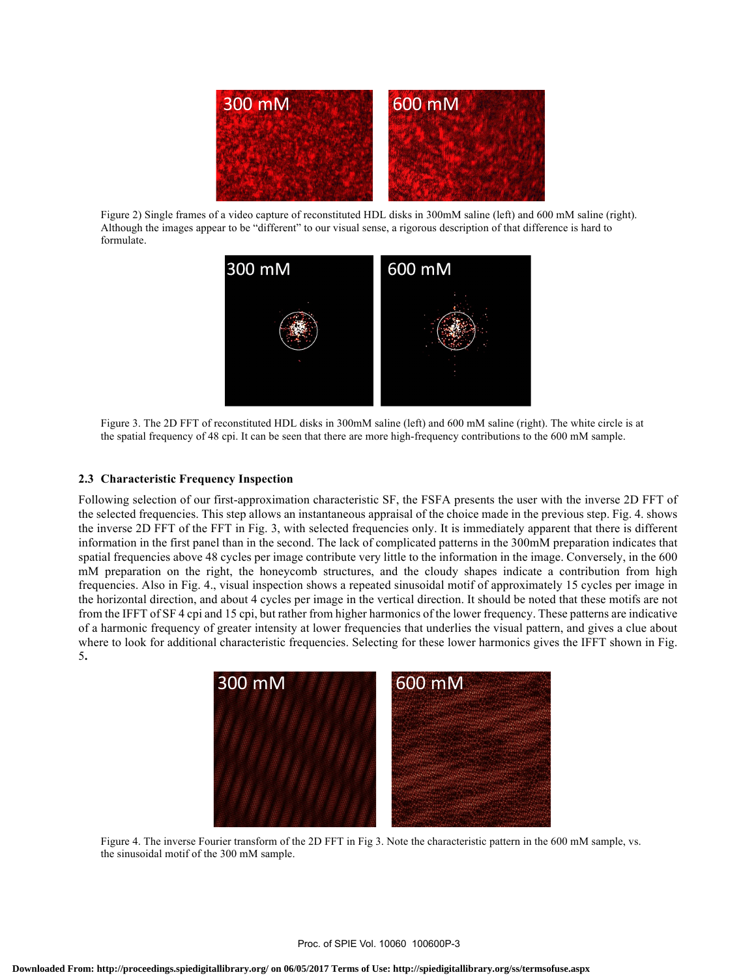

Figure 2) Single frames of a video capture of reconstituted HDL disks in 300mM saline (left) and 600 mM saline (right). Although the images appear to be "different" to our visual sense, a rigorous description of that difference is hard to formulate.



Figure 3. The 2D FFT of reconstituted HDL disks in 300mM saline (left) and 600 mM saline (right). The white circle is at the spatial frequency of 48 cpi. It can be seen that there are more high-frequency contributions to the 600 mM sample.

#### **2.3 Characteristic Frequency Inspection**

Following selection of our first-approximation characteristic SF, the FSFA presents the user with the inverse 2D FFT of the selected frequencies. This step allows an instantaneous appraisal of the choice made in the previous step. Fig. 4. shows the inverse 2D FFT of the FFT in Fig. 3, with selected frequencies only. It is immediately apparent that there is different information in the first panel than in the second. The lack of complicated patterns in the 300mM preparation indicates that spatial frequencies above 48 cycles per image contribute very little to the information in the image. Conversely, in the 600 mM preparation on the right, the honeycomb structures, and the cloudy shapes indicate a contribution from high frequencies. Also in Fig. 4., visual inspection shows a repeated sinusoidal motif of approximately 15 cycles per image in the horizontal direction, and about 4 cycles per image in the vertical direction. It should be noted that these motifs are not from the IFFT of SF 4 cpi and 15 cpi, but rather from higher harmonics of the lower frequency. These patterns are indicative of a harmonic frequency of greater intensity at lower frequencies that underlies the visual pattern, and gives a clue about where to look for additional characteristic frequencies. Selecting for these lower harmonics gives the IFFT shown in Fig. 5**.**



Figure 4. The inverse Fourier transform of the 2D FFT in Fig 3. Note the characteristic pattern in the 600 mM sample, vs. the sinusoidal motif of the 300 mM sample.